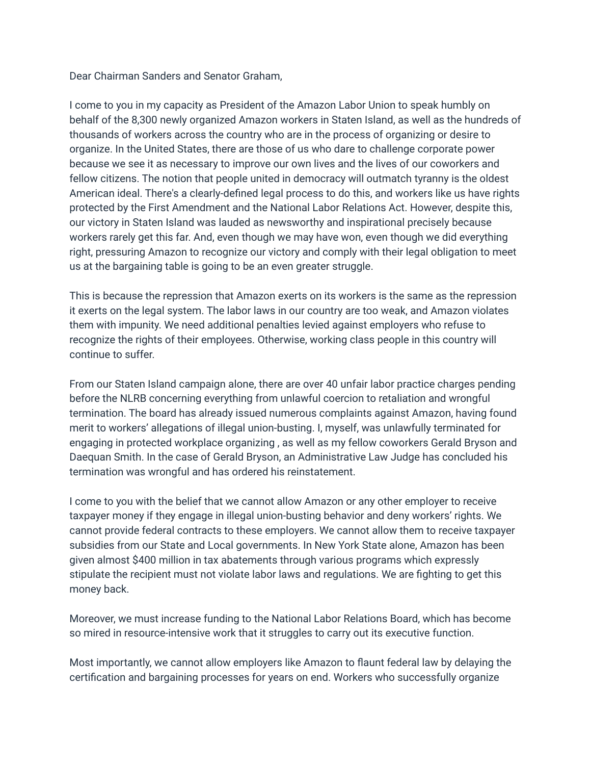Dear Chairman Sanders and Senator Graham,

I come to you in my capacity as President of the Amazon Labor Union to speak humbly on behalf of the 8,300 newly organized Amazon workers in Staten Island, as well as the hundreds of thousands of workers across the country who are in the process of organizing or desire to organize. In the United States, there are those of us who dare to challenge corporate power because we see it as necessary to improve our own lives and the lives of our coworkers and fellow citizens. The notion that people united in democracy will outmatch tyranny is the oldest American ideal. There's a clearly-defined legal process to do this, and workers like us have rights protected by the First Amendment and the National Labor Relations Act. However, despite this, our victory in Staten Island was lauded as newsworthy and inspirational precisely because workers rarely get this far. And, even though we may have won, even though we did everything right, pressuring Amazon to recognize our victory and comply with their legal obligation to meet us at the bargaining table is going to be an even greater struggle.

This is because the repression that Amazon exerts on its workers is the same as the repression it exerts on the legal system. The labor laws in our country are too weak, and Amazon violates them with impunity. We need additional penalties levied against employers who refuse to recognize the rights of their employees. Otherwise, working class people in this country will continue to suffer.

From our Staten Island campaign alone, there are over 40 unfair labor practice charges pending before the NLRB concerning everything from unlawful coercion to retaliation and wrongful termination. The board has already issued numerous complaints against Amazon, having found merit to workers' allegations of illegal union-busting. I, myself, was unlawfully terminated for engaging in protected workplace organizing , as well as my fellow coworkers Gerald Bryson and Daequan Smith. In the case of Gerald Bryson, an Administrative Law Judge has concluded his termination was wrongful and has ordered his reinstatement.

I come to you with the belief that we cannot allow Amazon or any other employer to receive taxpayer money if they engage in illegal union-busting behavior and deny workers' rights. We cannot provide federal contracts to these employers. We cannot allow them to receive taxpayer subsidies from our State and Local governments. In New York State alone, Amazon has been given almost \$400 million in tax abatements through various programs which expressly stipulate the recipient must not violate labor laws and regulations. We are fighting to get this money back.

Moreover, we must increase funding to the National Labor Relations Board, which has become so mired in resource-intensive work that it struggles to carry out its executive function.

Most importantly, we cannot allow employers like Amazon to flaunt federal law by delaying the certification and bargaining processes for years on end. Workers who successfully organize